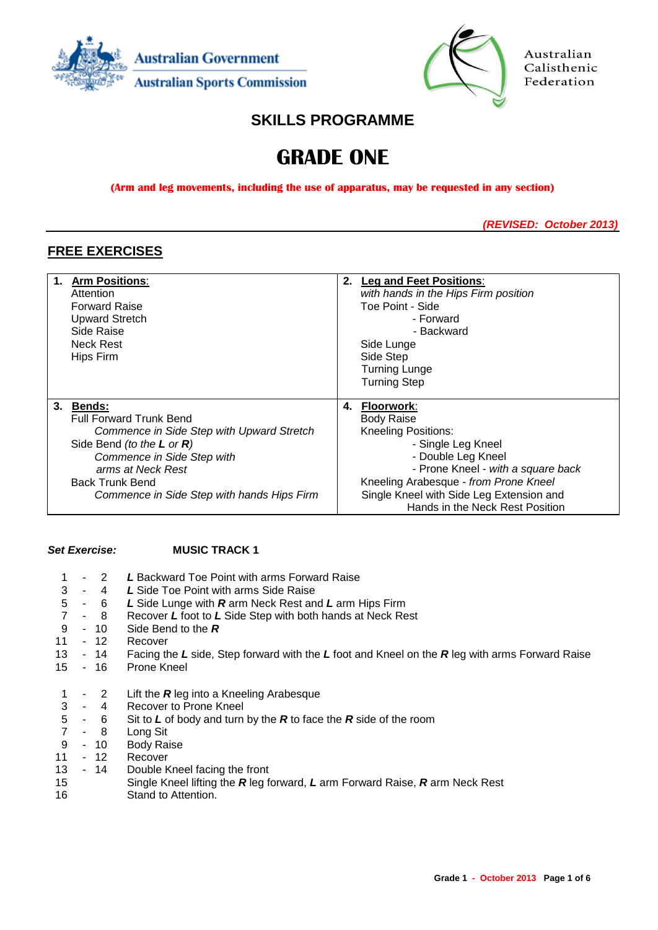



Australian Calisthenic Federation

# **SKILLS PROGRAMME**

# **GRADE ONE**

**(Arm and leg movements, including the use of apparatus, may be requested in any section)**

*(REVISED: October 2013)*

# **FREE EXERCISES**

| 1. | <b>Arm Positions:</b>                      |            | 2. Leg and Feet Positions:               |
|----|--------------------------------------------|------------|------------------------------------------|
|    | Attention                                  |            | with hands in the Hips Firm position     |
|    | <b>Forward Raise</b>                       |            | Toe Point - Side                         |
|    | <b>Upward Stretch</b>                      |            | - Forward                                |
|    | Side Raise                                 | - Backward |                                          |
|    | <b>Neck Rest</b>                           | Side Lunge |                                          |
|    | Hips Firm                                  |            | Side Step                                |
|    |                                            |            | <b>Turning Lunge</b>                     |
|    |                                            |            | <b>Turning Step</b>                      |
|    |                                            |            |                                          |
|    | 3. Bends:                                  | 4.         | Floorwork:                               |
|    | <b>Full Forward Trunk Bend</b>             |            | <b>Body Raise</b>                        |
|    | Commence in Side Step with Upward Stretch  |            | <b>Kneeling Positions:</b>               |
|    | Side Bend (to the $L$ or $R$ )             |            | - Single Leg Kneel                       |
|    | Commence in Side Step with                 |            | - Double Leg Kneel                       |
|    | arms at Neck Rest                          |            | - Prone Kneel - with a square back       |
|    | <b>Back Trunk Bend</b>                     |            | Kneeling Arabesque - from Prone Kneel    |
|    | Commence in Side Step with hands Hips Firm |            | Single Kneel with Side Leg Extension and |
|    |                                            |            | Hands in the Neck Rest Position          |

### *Set Exercise:* **MUSIC TRACK 1**

 - 2 *L* Backward Toe Point with arms Forward Raise - 4 *L* Side Toe Point with arms Side Raise - 6 *L* Side Lunge with *R* arm Neck Rest and *L* arm Hips Firm - 8 Recover *L* foot to *L* Side Step with both hands at Neck Rest - 10 Side Bend to the *R* - 12 Recover - 14 Facing the *L* side, Step forward with the *L* foot and Kneel on the *R* leg with arms Forward Raise - 16 Prone Kneel - 2 Lift the *R* leg into a Kneeling Arabesque 3 - 4 Recover to Prone Kneel<br>5 - 6 Sit to L of body and turn - 6 Sit to *L* of body and turn by the *R* to face the *R* side of the room - 8 Long Sit 10 Body Raise - 12 Recover - 14 Double Kneel facing the front Single Kneel lifting the *R* leg forward, *L* arm Forward Raise, *R* arm Neck Rest Stand to Attention.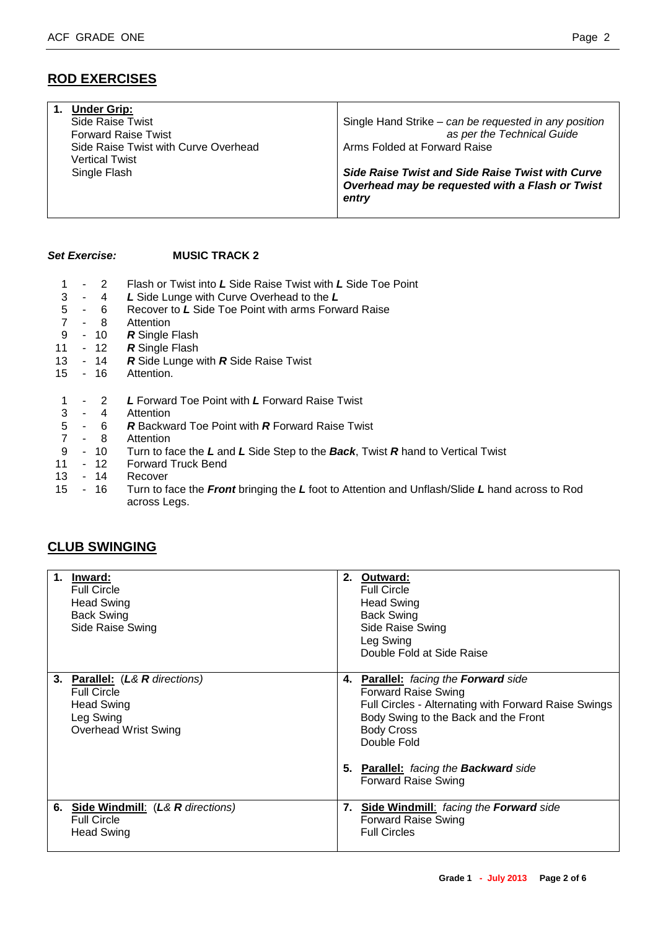# **ROD EXERCISES**

| <b>Under Grip:</b>                   |                                                                                                                     |
|--------------------------------------|---------------------------------------------------------------------------------------------------------------------|
| Side Raise Twist                     | Single Hand Strike – can be requested in any position                                                               |
| <b>Forward Raise Twist</b>           | as per the Technical Guide                                                                                          |
| Side Raise Twist with Curve Overhead | Arms Folded at Forward Raise                                                                                        |
| Vertical Twist                       |                                                                                                                     |
| Single Flash                         | <b>Side Raise Twist and Side Raise Twist with Curve</b><br>Overhead may be requested with a Flash or Twist<br>entry |

#### *Set Exercise:* **MUSIC TRACK 2**

- 1 2 Flash or Twist into *L* Side Raise Twist with *L* Side Toe Point
- 3 4 *L* Side Lunge with Curve Overhead to the *L*
- 5 6 Recover to *L* Side Toe Point with arms Forward Raise
- 7 8 Attention
- 9 10 **R** Single Flash<br>11 12 **R** Single Flash
- 12 **R** Single Flash
- 13 14 *R* Side Lunge with *R* Side Raise Twist
- 15 16 Attention.
- 1 2 *L* Forward Toe Point with *L* Forward Raise Twist
- 3 4 Attention
- 5 6 *R* Backward Toe Point with *R* Forward Raise Twist
- 7 8 Attention
- 9 10 Turn to face the *L* and *L* Side Step to the *Back*, Twist *R* hand to Vertical Twist
- 11 12 Forward Truck Bend
- 13 14 Recover
- 15 16 Turn to face the *Front* bringing the *L* foot to Attention and Unflash/Slide *L* hand across to Rod across Legs.

# **CLUB SWINGING**

| $1_{-}$ | Inward:<br><b>Full Circle</b><br><b>Head Swing</b><br><b>Back Swing</b><br>Side Raise Swing                           |    | 2. Outward:<br><b>Full Circle</b><br><b>Head Swing</b><br><b>Back Swing</b><br>Side Raise Swing<br>Leg Swing<br>Double Fold at Side Raise                                                                                                                                     |
|---------|-----------------------------------------------------------------------------------------------------------------------|----|-------------------------------------------------------------------------------------------------------------------------------------------------------------------------------------------------------------------------------------------------------------------------------|
|         | 3. Parallel: (L& R directions)<br><b>Full Circle</b><br><b>Head Swing</b><br>Leg Swing<br><b>Overhead Wrist Swing</b> |    | 4. Parallel: facing the Forward side<br><b>Forward Raise Swing</b><br>Full Circles - Alternating with Forward Raise Swings<br>Body Swing to the Back and the Front<br><b>Body Cross</b><br>Double Fold<br>5. Parallel: facing the Backward side<br><b>Forward Raise Swing</b> |
|         | 6. Side Windmill: (L& R directions)<br><b>Full Circle</b><br><b>Head Swing</b>                                        | 7. | <b>Side Windmill:</b> facing the <b>Forward</b> side<br><b>Forward Raise Swing</b><br><b>Full Circles</b>                                                                                                                                                                     |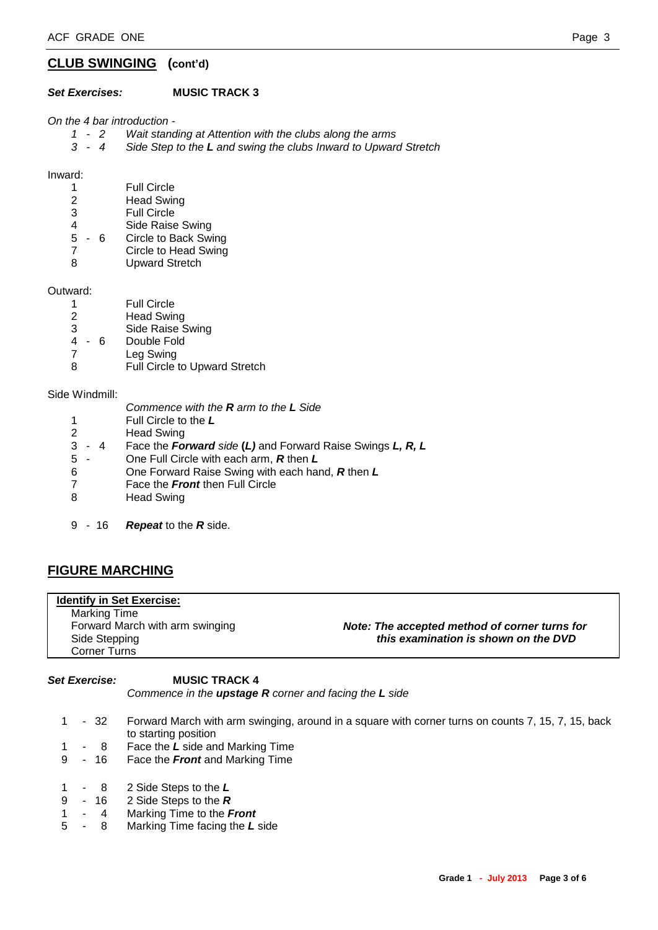### **CLUB SWINGING (cont'd)**

#### *Set Exercises:* **MUSIC TRACK 3**

*On the 4 bar introduction -*

- *1 - 2 Wait standing at Attention with the clubs along the arms*
- *3 - 4 Side Step to the L and swing the clubs Inward to Upward Stretch*

Inward:

- 1 Full Circle<br>2 Head Swir
- **Head Swing**
- 3 Full Circle
- 4 Side Raise Swing
- 5 6 Circle to Back Swing
- 7 Circle to Head Swing
- 8 Upward Stretch

Outward:

- 1 Full Circle
- 2 Head Swing
- 3 Side Raise Swing
- 4 6 Double Fold
- 7 Leg Swing
- 8 Full Circle to Upward Stretch

Side Windmill:

- *Commence with the R arm to the L Side*
- 1 Full Circle to the *L*
- 2 Head Swing
- 3 4 Face the *Forward side* **(***L)* and Forward Raise Swings *L, R, L*
- 5 One Full Circle with each arm, *R* then *L*
- 6 One Forward Raise Swing with each hand, *R* then *L*
- 7 Face the *Front* then Full Circle
- 8 Head Swing
- 9 16 *Repeat* to the *R* side.

# **FIGURE MARCHING**

| <b>Identify in Set Exercise:</b> |                                               |
|----------------------------------|-----------------------------------------------|
| Marking Time                     |                                               |
| Forward March with arm swinging  | Note: The accepted method of corner turns for |
| Side Stepping                    | this examination is shown on the DVD          |
| Corner Turns                     |                                               |

*Set Exercise:* **MUSIC TRACK 4**

*Commence in the upstage R corner and facing the L side*

- 1 32 Forward March with arm swinging, around in a square with corner turns on counts 7, 15, 7, 15, back to starting position
- 1 8 Face the *L* side and Marking Time
- 9 16 Face the *Front* and Marking Time
- 1 8 2 Side Steps to the *L*
- 9 16 2 Side Steps to the *R*
- 1 4 Marking Time to the *Front*
- 5 8 Marking Time facing the *L* side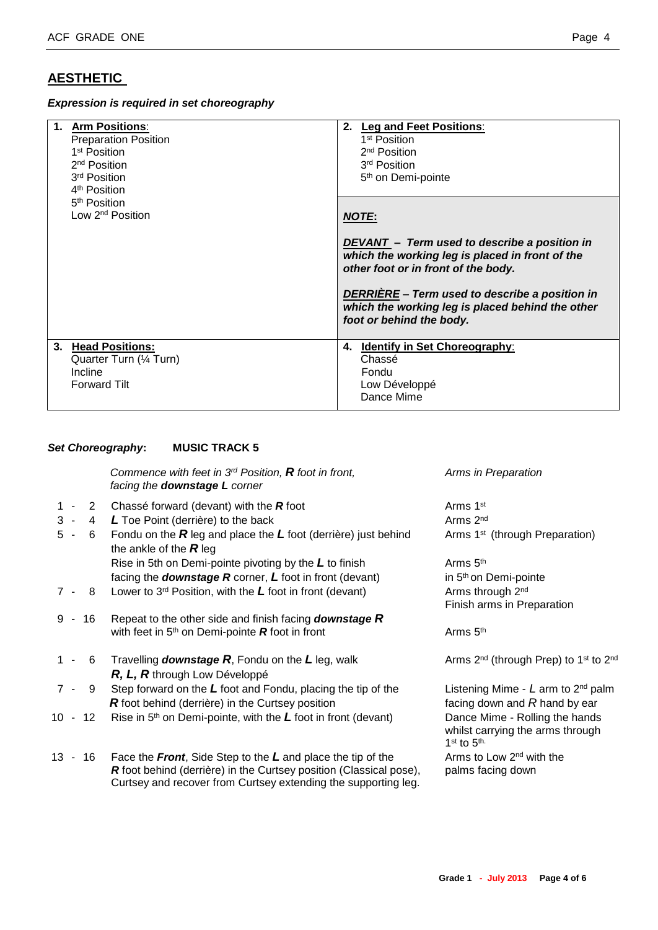# **AESTHETIC**

*Expression is required in set choreography*

| 1. Arm Positions:<br><b>Preparation Position</b><br>1 <sup>st</sup> Position<br>2 <sup>nd</sup> Position<br>3 <sup>rd</sup> Position<br>4 <sup>th</sup> Position | 2. Leg and Feet Positions:<br>1 <sup>st</sup> Position<br>2 <sup>nd</sup> Position<br>3 <sup>rd</sup> Position<br>5 <sup>th</sup> on Demi-pointe                                                         |
|------------------------------------------------------------------------------------------------------------------------------------------------------------------|----------------------------------------------------------------------------------------------------------------------------------------------------------------------------------------------------------|
| 5 <sup>th</sup> Position<br>Low 2 <sup>nd</sup> Position                                                                                                         | <b>NOTE:</b><br>DEVANT - Term used to describe a position in<br>which the working leg is placed in front of the<br>other foot or in front of the body.<br>DERRIÈRE - Term used to describe a position in |
|                                                                                                                                                                  | which the working leg is placed behind the other<br>foot or behind the body.                                                                                                                             |
| 3. Head Positions:<br>Quarter Turn (1/4 Turn)<br>Incline<br><b>Forward Tilt</b>                                                                                  | 4. Identify in Set Choreography:<br>Chassé<br>Fondu<br>Low Développé<br>Dance Mime                                                                                                                       |

#### *Set Choreography***: MUSIC TRACK 5**

*Commence with feet in 3rd Position, R foot in front, Arms in Preparation facing the downstage L corner*

- 1 2 Chassé forward (devant) with the **R** foot Arms 1<sup>st</sup>
- 3 4 *L* Toe Point (derrière) to the back Arms 2<sup>nd</sup> Arms 2<sup>nd</sup>
- 5 6 Fondu on the *R* leg and place the *L* foot (derrière) just behind Arms 1st (through Preparation) the ankle of the *R* leg Rise in 5th on Demi-pointe pivoting by the L to finish Arms 5<sup>th</sup> facing the *downstage R* corner, L foot in front (devant) in 5<sup>th</sup> on Demi-pointe
- 7 8 Lower to 3<sup>rd</sup> Position, with the L foot in front (devant) Arms through 2<sup>nd</sup>
- 9 16 Repeat to the other side and finish facing *downstage R* with feet in  $5<sup>th</sup>$  on Demi-pointe **R** foot in front Arms  $5<sup>th</sup>$
- 1 6 Travelling **downstage R**, Fondu on the L leg, walk Arms 2<sup>nd</sup> (through Prep) to 1<sup>st</sup> to 2<sup>nd</sup> *R, L, R* through Low Développé
- 7 9 Step forward on the *L* foot and Fondu, placing the tip of the Listening Mime *L* arm to 2nd palm *R* foot behind (derrière) in the Curtsey position facing down and *R* hand by ear
- 10 12 Rise in 5th on Demi-pointe, with the *L* foot in front (devant) Dance Mime Rolling the hands
- 13 16 Face the **Front**, Side Step to the L and place the tip of the Arms to Low 2<sup>nd</sup> with the *R* foot behind (derrière) in the Curtsey position (Classical pose), palms facing down Curtsey and recover from Curtsey extending the supporting leg.

Finish arms in Preparation

 whilst carrying the arms through 1<sup>st</sup> to 5<sup>th.</sup>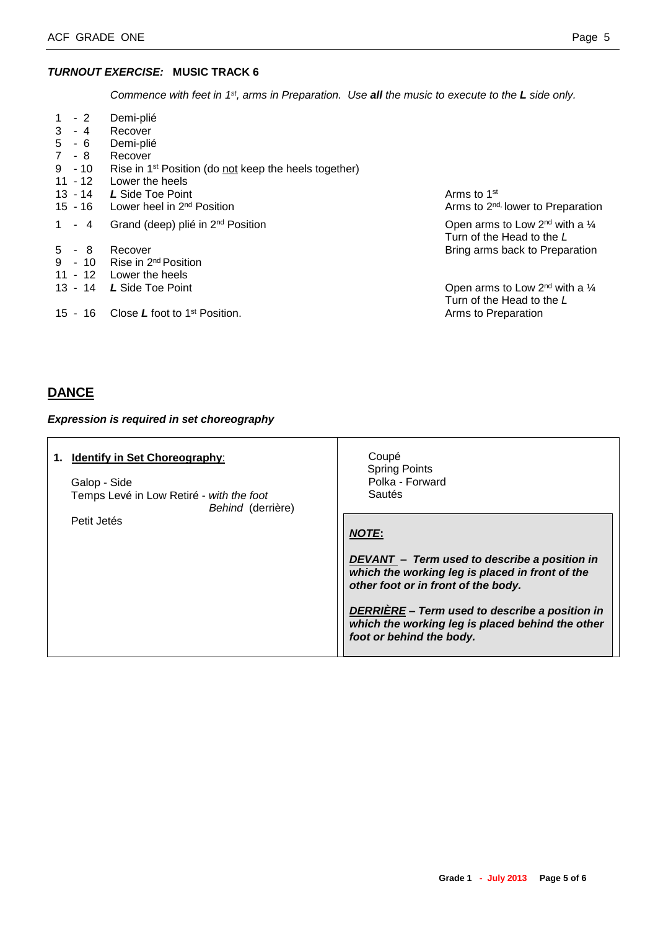#### *TURNOUT EXERCISE:* **MUSIC TRACK 6**

*Commence with feet in 1st, arms in Preparation. Use all the music to execute to the L side only.*

| $1 \quad$<br>$-2$<br>3<br>$-4$<br>- 6<br>5<br>$7 - 8$<br>$9 - 10$<br>$11 - 12$ | Demi-plié<br>Recover<br>Demi-plié<br>Recover<br>Rise in 1 <sup>st</sup> Position (do not keep the heels together)<br>Lower the heels |                                                                             |
|--------------------------------------------------------------------------------|--------------------------------------------------------------------------------------------------------------------------------------|-----------------------------------------------------------------------------|
| 13 - 14                                                                        | L Side Toe Point<br>15 - 16 Lower heel in $2^{nd}$ Position                                                                          | Arms to 1 <sup>st</sup><br>Arms to 2 <sup>nd,</sup> lower to Preparation    |
| $1 - 4$                                                                        | Grand (deep) plié in 2 <sup>nd</sup> Position                                                                                        | Open arms to Low $2^{nd}$ with a $\frac{1}{4}$<br>Turn of the Head to the L |
| $5 - 8$                                                                        | Recover<br>9 - 10 Rise in $2^{nd}$ Position<br>11 - 12 Lower the heels                                                               | Bring arms back to Preparation                                              |
| 13 - 14                                                                        | L Side Toe Point                                                                                                                     | Open arms to Low $2^{nd}$ with a $\frac{1}{4}$<br>Turn of the Head to the L |
| 15 - 16                                                                        | Close $L$ foot to 1 <sup>st</sup> Position.                                                                                          | Arms to Preparation                                                         |

# **DANCE**

#### *Expression is required in set choreography*

| <b>Identify in Set Choreography:</b><br>1.<br>Galop - Side<br>Temps Levé in Low Retiré - with the foot<br>Behind (derrière) | Coupé<br><b>Spring Points</b><br>Polka - Forward<br>Sautés                                                                             |  |
|-----------------------------------------------------------------------------------------------------------------------------|----------------------------------------------------------------------------------------------------------------------------------------|--|
| Petit Jetés                                                                                                                 | <b>NOTE:</b>                                                                                                                           |  |
|                                                                                                                             | DEVANT - Term used to describe a position in<br>which the working leg is placed in front of the<br>other foot or in front of the body. |  |
|                                                                                                                             | DERRIÈRE - Term used to describe a position in<br>which the working leg is placed behind the other<br>foot or behind the body.         |  |